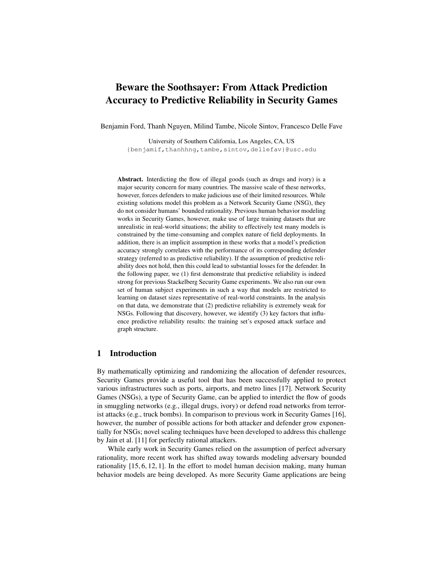# Beware the Soothsayer: From Attack Prediction Accuracy to Predictive Reliability in Security Games

Benjamin Ford, Thanh Nguyen, Milind Tambe, Nicole Sintov, Francesco Delle Fave

University of Southern California, Los Angeles, CA, US {benjamif,thanhhng,tambe,sintov,dellefav}@usc.edu

Abstract. Interdicting the flow of illegal goods (such as drugs and ivory) is a major security concern for many countries. The massive scale of these networks, however, forces defenders to make judicious use of their limited resources. While existing solutions model this problem as a Network Security Game (NSG), they do not consider humans' bounded rationality. Previous human behavior modeling works in Security Games, however, make use of large training datasets that are unrealistic in real-world situations; the ability to effectively test many models is constrained by the time-consuming and complex nature of field deployments. In addition, there is an implicit assumption in these works that a model's prediction accuracy strongly correlates with the performance of its corresponding defender strategy (referred to as predictive reliability). If the assumption of predictive reliability does not hold, then this could lead to substantial losses for the defender. In the following paper, we (1) first demonstrate that predictive reliability is indeed strong for previous Stackelberg Security Game experiments. We also run our own set of human subject experiments in such a way that models are restricted to learning on dataset sizes representative of real-world constraints. In the analysis on that data, we demonstrate that (2) predictive reliability is extremely weak for NSGs. Following that discovery, however, we identify (3) key factors that influence predictive reliability results: the training set's exposed attack surface and graph structure.

### 1 Introduction

By mathematically optimizing and randomizing the allocation of defender resources, Security Games provide a useful tool that has been successfully applied to protect various infrastructures such as ports, airports, and metro lines [17]. Network Security Games (NSGs), a type of Security Game, can be applied to interdict the flow of goods in smuggling networks (e.g., illegal drugs, ivory) or defend road networks from terrorist attacks (e.g., truck bombs). In comparison to previous work in Security Games [16], however, the number of possible actions for both attacker and defender grow exponentially for NSGs; novel scaling techniques have been developed to address this challenge by Jain et al. [11] for perfectly rational attackers.

While early work in Security Games relied on the assumption of perfect adversary rationality, more recent work has shifted away towards modeling adversary bounded rationality [15, 6, 12, 1]. In the effort to model human decision making, many human behavior models are being developed. As more Security Game applications are being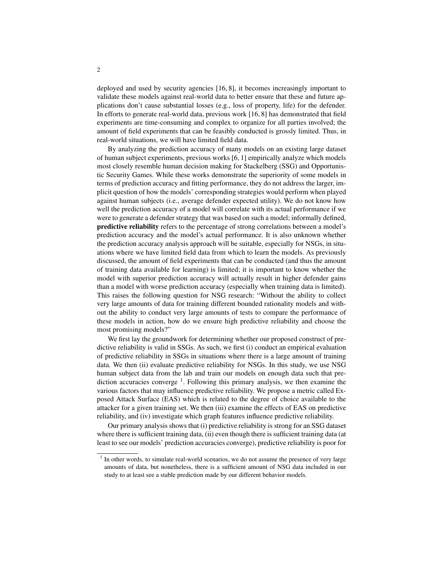deployed and used by security agencies [16, 8], it becomes increasingly important to validate these models against real-world data to better ensure that these and future applications don't cause substantial losses (e.g., loss of property, life) for the defender. In efforts to generate real-world data, previous work [16, 8] has demonstrated that field experiments are time-consuming and complex to organize for all parties involved; the amount of field experiments that can be feasibly conducted is grossly limited. Thus, in real-world situations, we will have limited field data.

By analyzing the prediction accuracy of many models on an existing large dataset of human subject experiments, previous works [6, 1] empirically analyze which models most closely resemble human decision making for Stackelberg (SSG) and Opportunistic Security Games. While these works demonstrate the superiority of some models in terms of prediction accuracy and fitting performance, they do not address the larger, implicit question of how the models' corresponding strategies would perform when played against human subjects (i.e., average defender expected utility). We do not know how well the prediction accuracy of a model will correlate with its actual performance if we were to generate a defender strategy that was based on such a model; informally defined, predictive reliability refers to the percentage of strong correlations between a model's prediction accuracy and the model's actual performance. It is also unknown whether the prediction accuracy analysis approach will be suitable, especially for NSGs, in situations where we have limited field data from which to learn the models. As previously discussed, the amount of field experiments that can be conducted (and thus the amount of training data available for learning) is limited; it is important to know whether the model with superior prediction accuracy will actually result in higher defender gains than a model with worse prediction accuracy (especially when training data is limited). This raises the following question for NSG research: "Without the ability to collect very large amounts of data for training different bounded rationality models and without the ability to conduct very large amounts of tests to compare the performance of these models in action, how do we ensure high predictive reliability and choose the most promising models?"

We first lay the groundwork for determining whether our proposed construct of predictive reliability is valid in SSGs. As such, we first (i) conduct an empirical evaluation of predictive reliability in SSGs in situations where there is a large amount of training data. We then (ii) evaluate predictive reliability for NSGs. In this study, we use NSG human subject data from the lab and train our models on enough data such that prediction accuracies converge <sup>1</sup>. Following this primary analysis, we then examine the various factors that may influence predictive reliability. We propose a metric called Exposed Attack Surface (EAS) which is related to the degree of choice available to the attacker for a given training set. We then (iii) examine the effects of EAS on predictive reliability, and (iv) investigate which graph features influence predictive reliability.

Our primary analysis shows that (i) predictive reliability is strong for an SSG dataset where there is sufficient training data, (ii) even though there is sufficient training data (at least to see our models' prediction accuracies converge), predictive reliability is poor for

<sup>&</sup>lt;sup>1</sup> In other words, to simulate real-world scenarios, we do not assume the presence of very large amounts of data, but nonetheless, there is a sufficient amount of NSG data included in our study to at least see a stable prediction made by our different behavior models.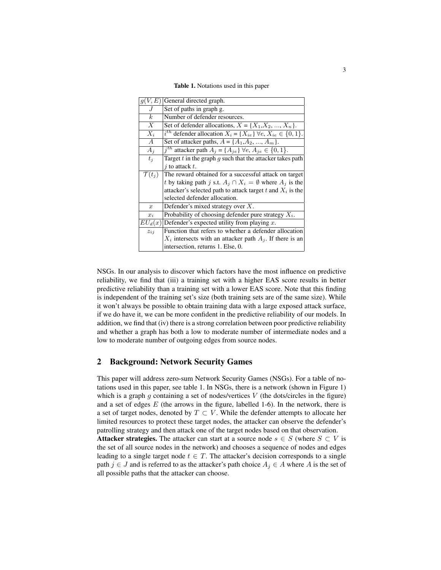Table 1. Notations used in this paper

| V.E                | General directed graph.                                                          |  |  |
|--------------------|----------------------------------------------------------------------------------|--|--|
| $J_{\cdot}$        | Set of paths in graph g.                                                         |  |  |
| $\boldsymbol{k}$   | Number of defender resources.                                                    |  |  |
| $\boldsymbol{X}$   | Set of defender allocations, $X = \{X_1, X_2, , X_n\}.$                          |  |  |
| $X_i$              | $i^{th}$ defender allocation $X_i = \{X_{ie}\}\ \forall e, X_{ie} \in \{0, 1\}.$ |  |  |
| $\overline{A}$     | Set of attacker paths, $A = \{A_1, A_2, , A_m\}$ .                               |  |  |
| $A_i$              | attacker path $A_j = \{A_{je}\}\forall e, A_{je} \in \{0, 1\}.$                  |  |  |
| $t_i$              | Target $t$ in the graph $g$ such that the attacker takes path                    |  |  |
|                    | $\dot{\jmath}$ to attack $t$ .                                                   |  |  |
| $\mathcal{T}(t_i)$ | The reward obtained for a successful attack on target                            |  |  |
|                    | t by taking path j s.t. $A_i \cap X_i = \emptyset$ where $A_i$ is the            |  |  |
|                    | attacker's selected path to attack target t and $X_i$ is the                     |  |  |
|                    | selected defender allocation.                                                    |  |  |
| $\boldsymbol{x}$   | Defender's mixed strategy over $X$ .                                             |  |  |
| $x_i$              | Probability of choosing defender pure strategy $X_i$ .                           |  |  |
|                    | $EU_d(x)$ Defender's expected utility from playing x.                            |  |  |
| $z_{ij}$           | Function that refers to whether a defender allocation                            |  |  |
|                    | $X_i$ intersects with an attacker path $A_i$ . If there is an                    |  |  |
|                    | intersection, returns 1. Else, 0.                                                |  |  |
|                    |                                                                                  |  |  |

NSGs. In our analysis to discover which factors have the most influence on predictive reliability, we find that (iii) a training set with a higher EAS score results in better predictive reliability than a training set with a lower EAS score. Note that this finding is independent of the training set's size (both training sets are of the same size). While it won't always be possible to obtain training data with a large exposed attack surface, if we do have it, we can be more confident in the predictive reliability of our models. In addition, we find that (iv) there is a strong correlation between poor predictive reliability and whether a graph has both a low to moderate number of intermediate nodes and a low to moderate number of outgoing edges from source nodes.

### 2 Background: Network Security Games

This paper will address zero-sum Network Security Games (NSGs). For a table of notations used in this paper, see table 1. In NSGs, there is a network (shown in Figure 1) which is a graph  $g$  containing a set of nodes/vertices  $V$  (the dots/circles in the figure) and a set of edges  $E$  (the arrows in the figure, labelled 1-6). In the network, there is a set of target nodes, denoted by  $T \subset V$ . While the defender attempts to allocate her limited resources to protect these target nodes, the attacker can observe the defender's patrolling strategy and then attack one of the target nodes based on that observation.

**Attacker strategies.** The attacker can start at a source node  $s \in S$  (where  $S \subset V$  is the set of all source nodes in the network) and chooses a sequence of nodes and edges leading to a single target node  $t \in T$ . The attacker's decision corresponds to a single path  $j \in J$  and is referred to as the attacker's path choice  $A_j \in A$  where A is the set of all possible paths that the attacker can choose.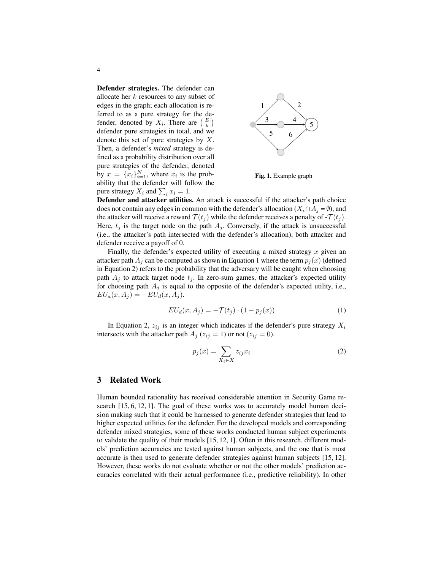Defender strategies. The defender can allocate her  $k$  resources to any subset of edges in the graph; each allocation is referred to as a pure strategy for the defender, denoted by  $X_i$ . There are  $\binom{|E|}{k}$ defender pure strategies in total, and we denote this set of pure strategies by X. Then, a defender's *mixed* strategy is defined as a probability distribution over all pure strategies of the defender, denoted by  $x = \{x_i\}_{i=1}^N$ , where  $x_i$  is the probability that the defender will follow the pure strategy  $X_i$  and  $\sum_i x_i = 1$ .



Fig. 1. Example graph

Defender and attacker utilities. An attack is successful if the attacker's path choice does not contain any edges in common with the defender's allocation ( $X_i \cap A_j = \emptyset$ ), and the attacker will receive a reward  $\mathcal{T}(t_i)$  while the defender receives a penalty of  $-\mathcal{T}(t_i)$ . Here,  $t_j$  is the target node on the path  $A_j$ . Conversely, if the attack is unsuccessful (i.e., the attacker's path intersected with the defender's allocation), both attacker and defender receive a payoff of 0.

Finally, the defender's expected utility of executing a mixed strategy  $x$  given an attacker path  $A_i$  can be computed as shown in Equation 1 where the term  $p_i(x)$  (defined in Equation 2) refers to the probability that the adversary will be caught when choosing path  $A_i$  to attack target node  $t_i$ . In zero-sum games, the attacker's expected utility for choosing path  $A_i$  is equal to the opposite of the defender's expected utility, i.e.,  $EU_a(x, A_j) = -EU_d(x, A_j).$ 

$$
EU_d(x, A_j) = -\mathcal{T}(t_j) \cdot (1 - p_j(x)) \tag{1}
$$

In Equation 2,  $z_{ij}$  is an integer which indicates if the defender's pure strategy  $X_i$ intersects with the attacker path  $A_i$  ( $z_{ij} = 1$ ) or not ( $z_{ij} = 0$ ).

$$
p_j(x) = \sum_{X_i \in X} z_{ij} x_i \tag{2}
$$

# 3 Related Work

Human bounded rationality has received considerable attention in Security Game research [15, 6, 12, 1]. The goal of these works was to accurately model human decision making such that it could be harnessed to generate defender strategies that lead to higher expected utilities for the defender. For the developed models and corresponding defender mixed strategies, some of these works conducted human subject experiments to validate the quality of their models [15, 12, 1]. Often in this research, different models' prediction accuracies are tested against human subjects, and the one that is most accurate is then used to generate defender strategies against human subjects [15, 12]. However, these works do not evaluate whether or not the other models' prediction accuracies correlated with their actual performance (i.e., predictive reliability). In other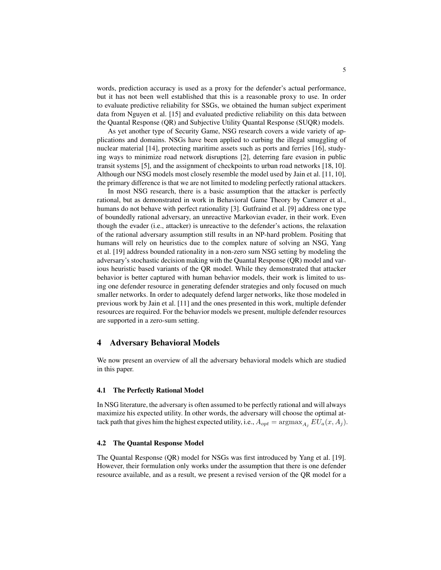words, prediction accuracy is used as a proxy for the defender's actual performance, but it has not been well established that this is a reasonable proxy to use. In order to evaluate predictive reliability for SSGs, we obtained the human subject experiment data from Nguyen et al. [15] and evaluated predictive reliability on this data between the Quantal Response (QR) and Subjective Utility Quantal Response (SUQR) models.

As yet another type of Security Game, NSG research covers a wide variety of applications and domains. NSGs have been applied to curbing the illegal smuggling of nuclear material [14], protecting maritime assets such as ports and ferries [16], studying ways to minimize road network disruptions [2], deterring fare evasion in public transit systems [5], and the assignment of checkpoints to urban road networks [18, 10]. Although our NSG models most closely resemble the model used by Jain et al. [11, 10], the primary difference is that we are not limited to modeling perfectly rational attackers.

In most NSG research, there is a basic assumption that the attacker is perfectly rational, but as demonstrated in work in Behavioral Game Theory by Camerer et al., humans do not behave with perfect rationality [3]. Gutfraind et al. [9] address one type of boundedly rational adversary, an unreactive Markovian evader, in their work. Even though the evader (i.e., attacker) is unreactive to the defender's actions, the relaxation of the rational adversary assumption still results in an NP-hard problem. Positing that humans will rely on heuristics due to the complex nature of solving an NSG, Yang et al. [19] address bounded rationality in a non-zero sum NSG setting by modeling the adversary's stochastic decision making with the Quantal Response (QR) model and various heuristic based variants of the QR model. While they demonstrated that attacker behavior is better captured with human behavior models, their work is limited to using one defender resource in generating defender strategies and only focused on much smaller networks. In order to adequately defend larger networks, like those modeled in previous work by Jain et al. [11] and the ones presented in this work, multiple defender resources are required. For the behavior models we present, multiple defender resources are supported in a zero-sum setting.

# 4 Adversary Behavioral Models

We now present an overview of all the adversary behavioral models which are studied in this paper.

#### 4.1 The Perfectly Rational Model

In NSG literature, the adversary is often assumed to be perfectly rational and will always maximize his expected utility. In other words, the adversary will choose the optimal attack path that gives him the highest expected utility, i.e.,  $A_{opt} = \text{argmax}_{A_i} EU_a(x, A_j)$ .

#### 4.2 The Quantal Response Model

The Quantal Response (QR) model for NSGs was first introduced by Yang et al. [19]. However, their formulation only works under the assumption that there is one defender resource available, and as a result, we present a revised version of the QR model for a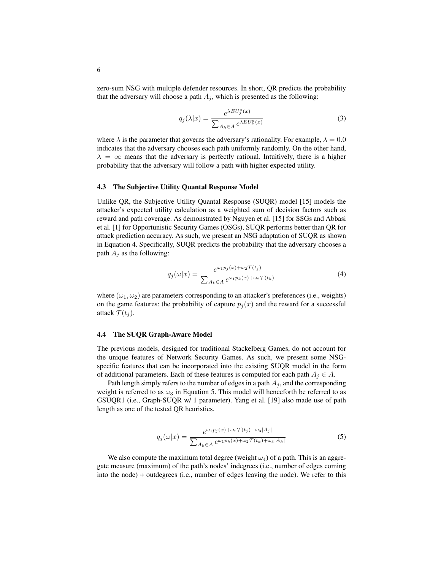zero-sum NSG with multiple defender resources. In short, QR predicts the probability that the adversary will choose a path  $A_j$ , which is presented as the following:

$$
q_j(\lambda|x) = \frac{e^{\lambda EU_j^a(x)}}{\sum_{A_k \in A} e^{\lambda EU_k^a(x)}}
$$
(3)

where  $\lambda$  is the parameter that governs the adversary's rationality. For example,  $\lambda = 0.0$ indicates that the adversary chooses each path uniformly randomly. On the other hand,  $\lambda = \infty$  means that the adversary is perfectly rational. Intuitively, there is a higher probability that the adversary will follow a path with higher expected utility.

#### 4.3 The Subjective Utility Quantal Response Model

Unlike QR, the Subjective Utility Quantal Response (SUQR) model [15] models the attacker's expected utility calculation as a weighted sum of decision factors such as reward and path coverage. As demonstrated by Nguyen et al. [15] for SSGs and Abbasi et al. [1] for Opportunistic Security Games (OSGs), SUQR performs better than QR for attack prediction accuracy. As such, we present an NSG adaptation of SUQR as shown in Equation 4. Specifically, SUQR predicts the probability that the adversary chooses a path  $A_j$  as the following:

$$
q_j(\omega|x) = \frac{e^{\omega_1 p_j(x) + \omega_2 \mathcal{T}(t_j)}}{\sum_{A_k \in A} e^{\omega_1 p_k(x) + \omega_2 \mathcal{T}(t_k)}}
$$
(4)

where  $(\omega_1, \omega_2)$  are parameters corresponding to an attacker's preferences (i.e., weights) on the game features: the probability of capture  $p_j(x)$  and the reward for a successful attack  $\mathcal{T}(t_i)$ .

#### 4.4 The SUQR Graph-Aware Model

The previous models, designed for traditional Stackelberg Games, do not account for the unique features of Network Security Games. As such, we present some NSGspecific features that can be incorporated into the existing SUQR model in the form of additional parameters. Each of these features is computed for each path  $A_i \in A$ .

Path length simply refers to the number of edges in a path  $A_i$ , and the corresponding weight is referred to as  $\omega_3$  in Equation 5. This model will henceforth be referred to as GSUQR1 (i.e., Graph-SUQR w/ 1 parameter). Yang et al. [19] also made use of path length as one of the tested QR heuristics.

$$
q_j(\omega|x) = \frac{e^{\omega_1 p_j(x) + \omega_2 \mathcal{T}(t_j) + \omega_3 |A_j|}}{\sum_{A_k \in A} e^{\omega_1 p_k(x) + \omega_2 \mathcal{T}(t_k) + \omega_3 |A_k|}}
$$
(5)

We also compute the maximum total degree (weight  $\omega_4$ ) of a path. This is an aggregate measure (maximum) of the path's nodes' indegrees (i.e., number of edges coming into the node) + outdegrees (i.e., number of edges leaving the node). We refer to this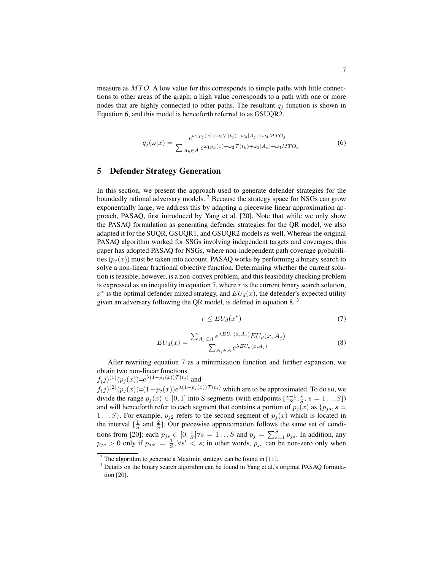measure as  $MTO$ . A low value for this corresponds to simple paths with little connections to other areas of the graph; a high value corresponds to a path with one or more nodes that are highly connected to other paths. The resultant  $q_i$  function is shown in Equation 6, and this model is henceforth referred to as GSUQR2.

$$
q_j(\omega|x) = \frac{e^{\omega_1 p_j(x) + \omega_2 \mathcal{T}(t_j) + \omega_3 |A_j| + \omega_4 M T O_j}}{\sum_{A_k \in A} e^{\omega_1 p_k(x) + \omega_2 \mathcal{T}(t_k) + \omega_3 |A_k| + \omega_4 M T O_k}}
$$
(6)

# 5 Defender Strategy Generation

In this section, we present the approach used to generate defender strategies for the boundedly rational adversary models. <sup>2</sup> Because the strategy space for NSGs can grow exponentially large, we address this by adapting a piecewise linear approximation approach, PASAQ, first introduced by Yang et al. [20]. Note that while we only show the PASAQ formulation as generating defender strategies for the QR model, we also adapted it for the SUQR, GSUQR1, and GSUQR2 models as well. Whereas the original PASAQ algorithm worked for SSGs involving independent targets and coverages, this paper has adopted PASAQ for NSGs, where non-independent path coverage probabilities  $(p_i(x))$  must be taken into account. PASAQ works by performing a binary search to solve a non-linear fractional objective function. Determining whether the current solution is feasible, however, is a non-convex problem, and this feasibility checking problem is expressed as an inequality in equation 7, where  $r$  is the current binary search solution,  $x^*$  is the optimal defender mixed strategy, and  $EU_d(x)$ , the defender's expected utility given an adversary following the QR model, is defined in equation 8. <sup>3</sup>

$$
r \le EU_d(x^*)\tag{7}
$$

$$
EU_d(x) = \frac{\sum_{A_j \in A} e^{\lambda EU_a(x, A_j)} EU_d(x, A_j)}{\sum_{A_j \in A} e^{\lambda EU_a(x, A_j)}}
$$
(8)

After rewriting equation 7 as a minimization function and further expansion, we obtain two non-linear functions

 $f(j)^{(1)}(p_j(x))=e^{\lambda(1-p_j(x))\mathcal{T}(t_j)}$  and

 $f(j)^{(2)}(p_j(x)) = (1-p_j(x))e^{\lambda(1-p_j(x))\mathcal{T}(t_j)}$  which are to be approximated. To do so, we divide the range  $p_j(x) \in [0, 1]$  into S segments (with endpoints  $\left[\frac{s-1}{S}, \frac{s}{S}, s = 1...S\right]$ ) and will henceforth refer to each segment that contains a portion of  $p_i(x)$  as  $\{p_{is}, s =$ 1... S}. For example,  $p_{j2}$  refers to the second segment of  $p_j(x)$  which is located in the interval  $\left[\frac{1}{S}\right]$  and  $\frac{2}{S}$ . Our piecewise approximation follows the same set of conditions from [20]: each  $p_{js} \in [0, \frac{1}{S}] \forall s = 1...S$  and  $p_j = \sum_{s=1}^{S} p_{js}$ . In addition, any  $p_{js} > 0$  only if  $p_{js'} = \frac{1}{s}, \forall s' < s$ ; in other words,  $p_{js}$  can be non-zero only when

 $^{2}$  The algorithm to generate a Maximin strategy can be found in [11].

<sup>&</sup>lt;sup>3</sup> Details on the binary search algorithm can be found in Yang et al.'s original PASAQ formulation [20].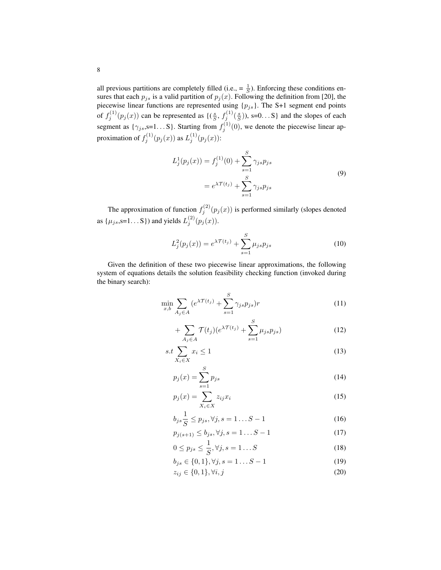all previous partitions are completely filled (i.e.,  $= \frac{1}{S}$ ). Enforcing these conditions ensures that each  $p_{js}$  is a valid partition of  $p_j(x)$ . Following the definition from [20], the piecewise linear functions are represented using  $\{p_{js}\}\$ . The S+1 segment end points of  $f_j^{(1)}(p_j(x))$  can be represented as  $\{(\frac{s}{S}, f_j^{(1)}(\frac{s}{S}))\}$ , s=0...S} and the slopes of each segment as  $\{\gamma_{js}, s=1...S\}$ . Starting from  $f_j^{(1)}(0)$ , we denote the piecewise linear approximation of  $f_j^{(1)}(p_j(x))$  as  $L_j^{(1)}(p_j(x))$ :

$$
L_j^1(p_j(x)) = f_j^{(1)}(0) + \sum_{s=1}^S \gamma_{js} p_{js}
$$
  
=  $e^{\lambda \mathcal{T}(t_j)} + \sum_{s=1}^S \gamma_{js} p_{js}$  (9)

The approximation of function  $f_j^{(2)}(p_j(x))$  is performed similarly (slopes denoted as  $\{\mu_{js}, s=1...S\}$  and yields  $L_j^{(2)}(p_j(x))$ .

$$
L_j^2(p_j(x)) = e^{\lambda \mathcal{T}(t_j)} + \sum_{s=1}^S \mu_{js} p_{js}
$$
 (10)

Given the definition of these two piecewise linear approximations, the following system of equations details the solution feasibility checking function (invoked during the binary search):

$$
\min_{x,b} \sum_{A_j \in A} \left( e^{\lambda \mathcal{T}(t_j)} + \sum_{s=1}^S \gamma_{js} p_{js} \right) r \tag{11}
$$

$$
+\sum_{A_j\in A} \mathcal{T}(t_j)(e^{\lambda \mathcal{T}(t_j)} + \sum_{s=1}^S \mu_{js} p_{js})
$$
\n(12)

$$
s.t. \sum_{X_i \in X} x_i \le 1 \tag{13}
$$

$$
p_j(x) = \sum_{s=1}^{S} p_{js}
$$
 (14)

$$
p_j(x) = \sum_{X_i \in X} z_{ij} x_i \tag{15}
$$

$$
b_{js}\frac{1}{S} \le p_{js}, \forall j, s = 1 \dots S - 1 \tag{16}
$$

$$
p_{j(s+1)} \le b_{js}, \forall j, s = 1...S - 1
$$
 (17)

$$
0 \le p_{js} \le \frac{1}{S}, \forall j, s = 1...S \tag{18}
$$

$$
b_{js} \in \{0, 1\}, \forall j, s = 1 \dots S - 1 \tag{19}
$$

$$
z_{ij} \in \{0, 1\}, \forall i, j \tag{20}
$$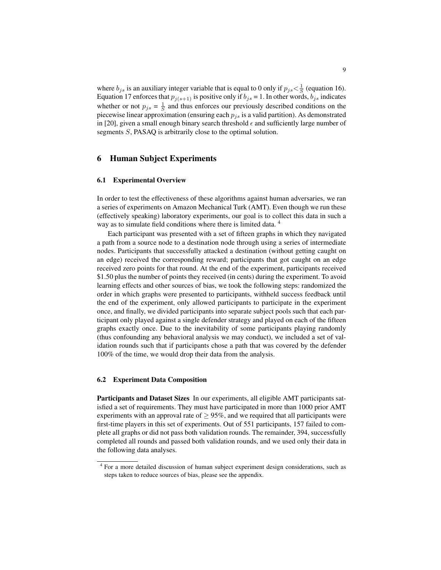where  $b_{js}$  is an auxiliary integer variable that is equal to 0 only if  $p_{js} < \frac{1}{S}$  (equation 16). Equation 17 enforces that  $p_{j(s+1)}$  is positive only if  $b_{js} = 1$ . In other words,  $b_{js}$  indicates whether or not  $p_{js} = \frac{1}{s}$  and thus enforces our previously described conditions on the piecewise linear approximation (ensuring each  $p_{js}$  is a valid partition). As demonstrated in [20], given a small enough binary search threshold  $\epsilon$  and sufficiently large number of segments S, PASAQ is arbitrarily close to the optimal solution.

# 6 Human Subject Experiments

#### 6.1 Experimental Overview

In order to test the effectiveness of these algorithms against human adversaries, we ran a series of experiments on Amazon Mechanical Turk (AMT). Even though we run these (effectively speaking) laboratory experiments, our goal is to collect this data in such a way as to simulate field conditions where there is limited data. <sup>4</sup>

Each participant was presented with a set of fifteen graphs in which they navigated a path from a source node to a destination node through using a series of intermediate nodes. Participants that successfully attacked a destination (without getting caught on an edge) received the corresponding reward; participants that got caught on an edge received zero points for that round. At the end of the experiment, participants received \$1.50 plus the number of points they received (in cents) during the experiment. To avoid learning effects and other sources of bias, we took the following steps: randomized the order in which graphs were presented to participants, withheld success feedback until the end of the experiment, only allowed participants to participate in the experiment once, and finally, we divided participants into separate subject pools such that each participant only played against a single defender strategy and played on each of the fifteen graphs exactly once. Due to the inevitability of some participants playing randomly (thus confounding any behavioral analysis we may conduct), we included a set of validation rounds such that if participants chose a path that was covered by the defender 100% of the time, we would drop their data from the analysis.

#### 6.2 Experiment Data Composition

Participants and Dataset Sizes In our experiments, all eligible AMT participants satisfied a set of requirements. They must have participated in more than 1000 prior AMT experiments with an approval rate of  $\geq$  95%, and we required that all participants were first-time players in this set of experiments. Out of 551 participants, 157 failed to complete all graphs or did not pass both validation rounds. The remainder, 394, successfully completed all rounds and passed both validation rounds, and we used only their data in the following data analyses.

<sup>&</sup>lt;sup>4</sup> For a more detailed discussion of human subject experiment design considerations, such as steps taken to reduce sources of bias, please see the appendix.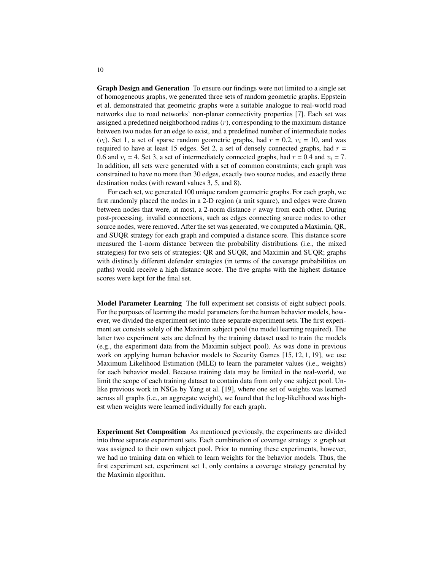Graph Design and Generation To ensure our findings were not limited to a single set of homogeneous graphs, we generated three sets of random geometric graphs. Eppstein et al. demonstrated that geometric graphs were a suitable analogue to real-world road networks due to road networks' non-planar connectivity properties [7]. Each set was assigned a predefined neighborhood radius  $(r)$ , corresponding to the maximum distance between two nodes for an edge to exist, and a predefined number of intermediate nodes  $(v_i)$ . Set 1, a set of sparse random geometric graphs, had  $r = 0.2$ ,  $v_i = 10$ , and was required to have at least 15 edges. Set 2, a set of densely connected graphs, had  $r =$ 0.6 and  $v_i = 4$ . Set 3, a set of intermediately connected graphs, had  $r = 0.4$  and  $v_i = 7$ . In addition, all sets were generated with a set of common constraints; each graph was constrained to have no more than 30 edges, exactly two source nodes, and exactly three destination nodes (with reward values 3, 5, and 8).

For each set, we generated 100 unique random geometric graphs. For each graph, we first randomly placed the nodes in a 2-D region (a unit square), and edges were drawn between nodes that were, at most, a 2-norm distance  $r$  away from each other. During post-processing, invalid connections, such as edges connecting source nodes to other source nodes, were removed. After the set was generated, we computed a Maximin, QR, and SUQR strategy for each graph and computed a distance score. This distance score measured the 1-norm distance between the probability distributions (i.e., the mixed strategies) for two sets of strategies: QR and SUQR, and Maximin and SUQR; graphs with distinctly different defender strategies (in terms of the coverage probabilities on paths) would receive a high distance score. The five graphs with the highest distance scores were kept for the final set.

Model Parameter Learning The full experiment set consists of eight subject pools. For the purposes of learning the model parameters for the human behavior models, however, we divided the experiment set into three separate experiment sets. The first experiment set consists solely of the Maximin subject pool (no model learning required). The latter two experiment sets are defined by the training dataset used to train the models (e.g., the experiment data from the Maximin subject pool). As was done in previous work on applying human behavior models to Security Games [15, 12, 1, 19], we use Maximum Likelihood Estimation (MLE) to learn the parameter values (i.e., weights) for each behavior model. Because training data may be limited in the real-world, we limit the scope of each training dataset to contain data from only one subject pool. Unlike previous work in NSGs by Yang et al. [19], where one set of weights was learned across all graphs (i.e., an aggregate weight), we found that the log-likelihood was highest when weights were learned individually for each graph.

Experiment Set Composition As mentioned previously, the experiments are divided into three separate experiment sets. Each combination of coverage strategy  $\times$  graph set was assigned to their own subject pool. Prior to running these experiments, however, we had no training data on which to learn weights for the behavior models. Thus, the first experiment set, experiment set 1, only contains a coverage strategy generated by the Maximin algorithm.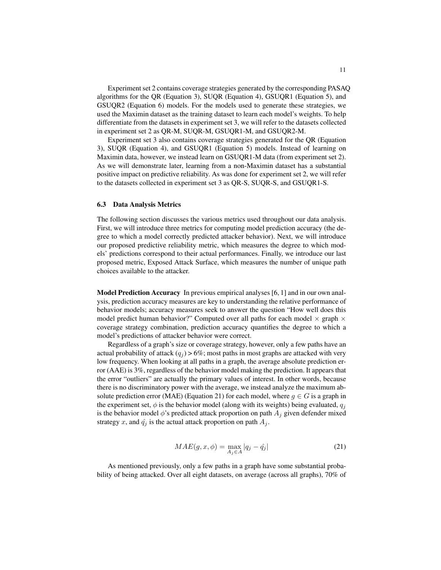Experiment set 2 contains coverage strategies generated by the corresponding PASAQ algorithms for the QR (Equation 3), SUQR (Equation 4), GSUQR1 (Equation 5), and GSUQR2 (Equation 6) models. For the models used to generate these strategies, we used the Maximin dataset as the training dataset to learn each model's weights. To help differentiate from the datasets in experiment set 3, we will refer to the datasets collected in experiment set 2 as QR-M, SUQR-M, GSUQR1-M, and GSUQR2-M.

Experiment set 3 also contains coverage strategies generated for the QR (Equation 3), SUQR (Equation 4), and GSUQR1 (Equation 5) models. Instead of learning on Maximin data, however, we instead learn on GSUQR1-M data (from experiment set 2). As we will demonstrate later, learning from a non-Maximin dataset has a substantial positive impact on predictive reliability. As was done for experiment set 2, we will refer to the datasets collected in experiment set 3 as QR-S, SUQR-S, and GSUQR1-S.

#### 6.3 Data Analysis Metrics

The following section discusses the various metrics used throughout our data analysis. First, we will introduce three metrics for computing model prediction accuracy (the degree to which a model correctly predicted attacker behavior). Next, we will introduce our proposed predictive reliability metric, which measures the degree to which models' predictions correspond to their actual performances. Finally, we introduce our last proposed metric, Exposed Attack Surface, which measures the number of unique path choices available to the attacker.

Model Prediction Accuracy In previous empirical analyses [6, 1] and in our own analysis, prediction accuracy measures are key to understanding the relative performance of behavior models; accuracy measures seek to answer the question "How well does this model predict human behavior?" Computed over all paths for each model  $\times$  graph  $\times$ coverage strategy combination, prediction accuracy quantifies the degree to which a model's predictions of attacker behavior were correct.

Regardless of a graph's size or coverage strategy, however, only a few paths have an actual probability of attack  $(q_i) > 6\%$ ; most paths in most graphs are attacked with very low frequency. When looking at all paths in a graph, the average absolute prediction error (AAE) is 3%, regardless of the behavior model making the prediction. It appears that the error "outliers" are actually the primary values of interest. In other words, because there is no discriminatory power with the average, we instead analyze the maximum absolute prediction error (MAE) (Equation 21) for each model, where  $g \in G$  is a graph in the experiment set,  $\phi$  is the behavior model (along with its weights) being evaluated,  $q_i$ is the behavior model  $\phi$ 's predicted attack proportion on path  $A_i$  given defender mixed strategy x, and  $\hat{q}_j$  is the actual attack proportion on path  $A_j$ .

$$
MAE(g, x, \phi) = \max_{A_j \in A} |q_j - \hat{q}_j|
$$
\n(21)

As mentioned previously, only a few paths in a graph have some substantial probability of being attacked. Over all eight datasets, on average (across all graphs), 70% of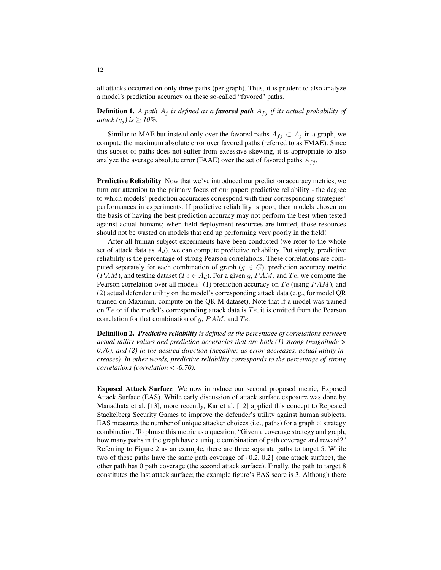all attacks occurred on only three paths (per graph). Thus, it is prudent to also analyze a model's prediction accuracy on these so-called "favored" paths.

**Definition 1.** A path  $A_j$  is defined as a **favored path**  $A_{fj}$  if its actual probability of *attack*  $(q_i)$  *is*  $\geq 10\%$ *.* 

Similar to MAE but instead only over the favored paths  $A_{fj} \subset A_j$  in a graph, we compute the maximum absolute error over favored paths (referred to as FMAE). Since this subset of paths does not suffer from excessive skewing, it is appropriate to also analyze the average absolute error (FAAE) over the set of favored paths  $A_{fi}$ .

Predictive Reliability Now that we've introduced our prediction accuracy metrics, we turn our attention to the primary focus of our paper: predictive reliability - the degree to which models' prediction accuracies correspond with their corresponding strategies' performances in experiments. If predictive reliability is poor, then models chosen on the basis of having the best prediction accuracy may not perform the best when tested against actual humans; when field-deployment resources are limited, those resources should not be wasted on models that end up performing very poorly in the field!

After all human subject experiments have been conducted (we refer to the whole set of attack data as  $A_d$ ), we can compute predictive reliability. Put simply, predictive reliability is the percentage of strong Pearson correlations. These correlations are computed separately for each combination of graph ( $g \in G$ ), prediction accuracy metric  $(PAM)$ , and testing dataset (T $e \in A_d$ ). For a given g, PAM, and Te, we compute the Pearson correlation over all models' (1) prediction accuracy on  $Te$  (using  $PAM$ ), and (2) actual defender utility on the model's corresponding attack data (e.g., for model QR trained on Maximin, compute on the QR-M dataset). Note that if a model was trained on  $Te$  or if the model's corresponding attack data is  $Te$ , it is omitted from the Pearson correlation for that combination of q,  $PAM$ , and Te.

Definition 2. *Predictive reliability is defined as the percentage of correlations between actual utility values and prediction accuracies that are both (1) strong (magnitude > 0.70), and (2) in the desired direction (negative: as error decreases, actual utility increases). In other words, predictive reliability corresponds to the percentage of strong correlations (correlation < -0.70).*

Exposed Attack Surface We now introduce our second proposed metric, Exposed Attack Surface (EAS). While early discussion of attack surface exposure was done by Manadhata et al. [13], more recently, Kar et al. [12] applied this concept to Repeated Stackelberg Security Games to improve the defender's utility against human subjects. EAS measures the number of unique attacker choices (i.e., paths) for a graph  $\times$  strategy combination. To phrase this metric as a question, "Given a coverage strategy and graph, how many paths in the graph have a unique combination of path coverage and reward?" Referring to Figure 2 as an example, there are three separate paths to target 5. While two of these paths have the same path coverage of  $\{0.2, 0.2\}$  (one attack surface), the other path has 0 path coverage (the second attack surface). Finally, the path to target 8 constitutes the last attack surface; the example figure's EAS score is 3. Although there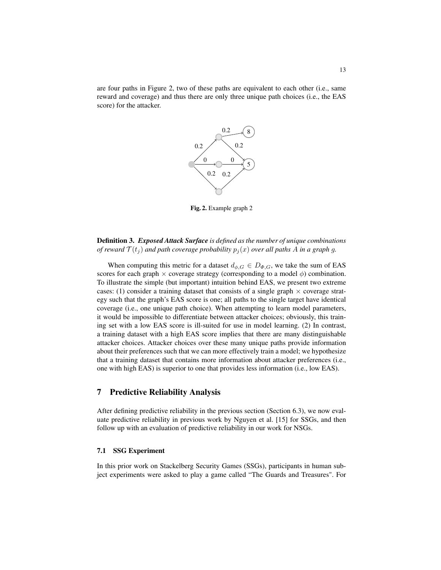are four paths in Figure 2, two of these paths are equivalent to each other (i.e., same reward and coverage) and thus there are only three unique path choices (i.e., the EAS score) for the attacker.



Fig. 2. Example graph 2

Definition 3. *Exposed Attack Surface is defined as the number of unique combinations of reward*  $\mathcal{T}(t_i)$  *and path coverage probability*  $p_i(x)$  *over all paths* A *in a graph* g.

When computing this metric for a dataset  $d_{\phi,G} \in D_{\Phi,G}$ , we take the sum of EAS scores for each graph  $\times$  coverage strategy (corresponding to a model  $\phi$ ) combination. To illustrate the simple (but important) intuition behind EAS, we present two extreme cases: (1) consider a training dataset that consists of a single graph  $\times$  coverage strategy such that the graph's EAS score is one; all paths to the single target have identical coverage (i.e., one unique path choice). When attempting to learn model parameters, it would be impossible to differentiate between attacker choices; obviously, this training set with a low EAS score is ill-suited for use in model learning. (2) In contrast, a training dataset with a high EAS score implies that there are many distinguishable attacker choices. Attacker choices over these many unique paths provide information about their preferences such that we can more effectively train a model; we hypothesize that a training dataset that contains more information about attacker preferences (i.e., one with high EAS) is superior to one that provides less information (i.e., low EAS).

# 7 Predictive Reliability Analysis

After defining predictive reliability in the previous section (Section 6.3), we now evaluate predictive reliability in previous work by Nguyen et al. [15] for SSGs, and then follow up with an evaluation of predictive reliability in our work for NSGs.

### 7.1 SSG Experiment

In this prior work on Stackelberg Security Games (SSGs), participants in human subject experiments were asked to play a game called "The Guards and Treasures". For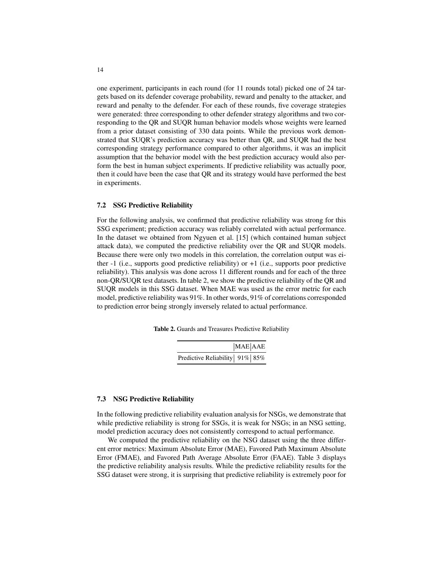one experiment, participants in each round (for 11 rounds total) picked one of 24 targets based on its defender coverage probability, reward and penalty to the attacker, and reward and penalty to the defender. For each of these rounds, five coverage strategies were generated: three corresponding to other defender strategy algorithms and two corresponding to the QR and SUQR human behavior models whose weights were learned from a prior dataset consisting of 330 data points. While the previous work demonstrated that SUQR's prediction accuracy was better than QR, and SUQR had the best corresponding strategy performance compared to other algorithms, it was an implicit assumption that the behavior model with the best prediction accuracy would also perform the best in human subject experiments. If predictive reliability was actually poor, then it could have been the case that QR and its strategy would have performed the best in experiments.

#### 7.2 SSG Predictive Reliability

For the following analysis, we confirmed that predictive reliability was strong for this SSG experiment; prediction accuracy was reliably correlated with actual performance. In the dataset we obtained from Ngyuen et al. [15] (which contained human subject attack data), we computed the predictive reliability over the QR and SUQR models. Because there were only two models in this correlation, the correlation output was either -1 (i.e., supports good predictive reliability) or +1 (i.e., supports poor predictive reliability). This analysis was done across 11 different rounds and for each of the three non-QR/SUQR test datasets. In table 2, we show the predictive reliability of the QR and SUQR models in this SSG dataset. When MAE was used as the error metric for each model, predictive reliability was 91%. In other words, 91% of correlations corresponded to prediction error being strongly inversely related to actual performance.

Table 2. Guards and Treasures Predictive Reliability

| MAE AAE                        |  |
|--------------------------------|--|
| Predictive Reliability 91% 85% |  |

#### 7.3 NSG Predictive Reliability

In the following predictive reliability evaluation analysis for NSGs, we demonstrate that while predictive reliability is strong for SSGs, it is weak for NSGs; in an NSG setting, model prediction accuracy does not consistently correspond to actual performance.

We computed the predictive reliability on the NSG dataset using the three different error metrics: Maximum Absolute Error (MAE), Favored Path Maximum Absolute Error (FMAE), and Favored Path Average Absolute Error (FAAE). Table 3 displays the predictive reliability analysis results. While the predictive reliability results for the SSG dataset were strong, it is surprising that predictive reliability is extremely poor for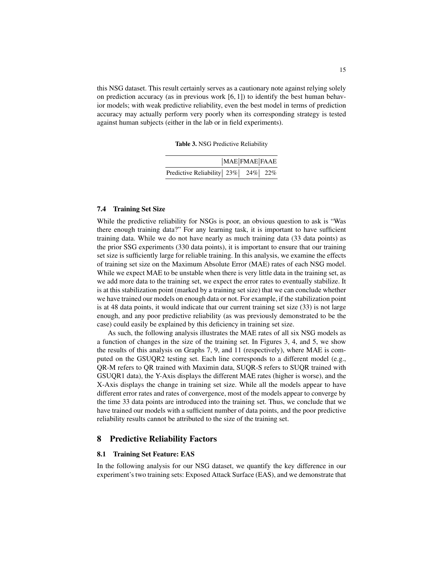this NSG dataset. This result certainly serves as a cautionary note against relying solely on prediction accuracy (as in previous work  $[6, 1]$ ) to identify the best human behavior models; with weak predictive reliability, even the best model in terms of prediction accuracy may actually perform very poorly when its corresponding strategy is tested against human subjects (either in the lab or in field experiments).

Table 3. NSG Predictive Reliability

|                                          | MAE FMAE FAAE |  |
|------------------------------------------|---------------|--|
| Predictive Reliability   23%   24%   22% |               |  |

### 7.4 Training Set Size

While the predictive reliability for NSGs is poor, an obvious question to ask is "Was there enough training data?" For any learning task, it is important to have sufficient training data. While we do not have nearly as much training data (33 data points) as the prior SSG experiments (330 data points), it is important to ensure that our training set size is sufficiently large for reliable training. In this analysis, we examine the effects of training set size on the Maximum Absolute Error (MAE) rates of each NSG model. While we expect MAE to be unstable when there is very little data in the training set, as we add more data to the training set, we expect the error rates to eventually stabilize. It is at this stabilization point (marked by a training set size) that we can conclude whether we have trained our models on enough data or not. For example, if the stabilization point is at 48 data points, it would indicate that our current training set size (33) is not large enough, and any poor predictive reliability (as was previously demonstrated to be the case) could easily be explained by this deficiency in training set size.

As such, the following analysis illustrates the MAE rates of all six NSG models as a function of changes in the size of the training set. In Figures 3, 4, and 5, we show the results of this analysis on Graphs 7, 9, and 11 (respectively), where MAE is computed on the GSUQR2 testing set. Each line corresponds to a different model (e.g., QR-M refers to QR trained with Maximin data, SUQR-S refers to SUQR trained with GSUQR1 data), the Y-Axis displays the different MAE rates (higher is worse), and the X-Axis displays the change in training set size. While all the models appear to have different error rates and rates of convergence, most of the models appear to converge by the time 33 data points are introduced into the training set. Thus, we conclude that we have trained our models with a sufficient number of data points, and the poor predictive reliability results cannot be attributed to the size of the training set.

### 8 Predictive Reliability Factors

#### 8.1 Training Set Feature: EAS

In the following analysis for our NSG dataset, we quantify the key difference in our experiment's two training sets: Exposed Attack Surface (EAS), and we demonstrate that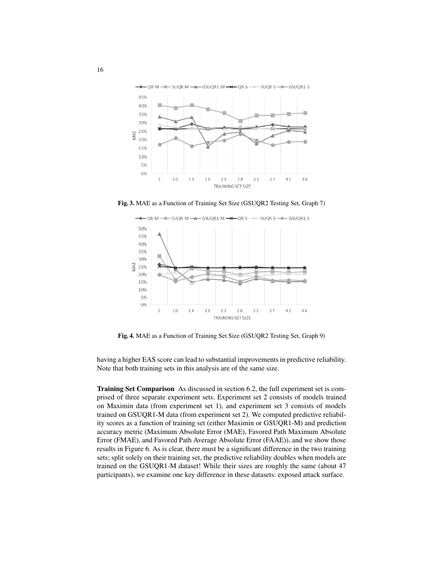

Fig. 3. MAE as a Function of Training Set Size (GSUQR2 Testing Set, Graph 7)



Fig. 4. MAE as a Function of Training Set Size (GSUQR2 Testing Set, Graph 9)

having a higher EAS score can lead to substantial improvements in predictive reliability. Note that both training sets in this analysis are of the same size.

Training Set Comparison As discussed in section 6.2, the full experiment set is comprised of three separate experiment sets. Experiment set 2 consists of models trained on Maximin data (from experiment set 1), and experiment set 3 consists of models trained on GSUQR1-M data (from experiment set 2). We computed predictive reliability scores as a function of training set (either Maximin or GSUQR1-M) and prediction accuracy metric (Maximum Absolute Error (MAE), Favored Path Maximum Absolute Error (FMAE), and Favored Path Average Absolute Error (FAAE)), and we show those results in Figure 6. As is clear, there must be a significant difference in the two training sets; split solely on their training set, the predictive reliability doubles when models are trained on the GSUQR1-M dataset! While their sizes are roughly the same (about 47 participants), we examine one key difference in these datasets: exposed attack surface.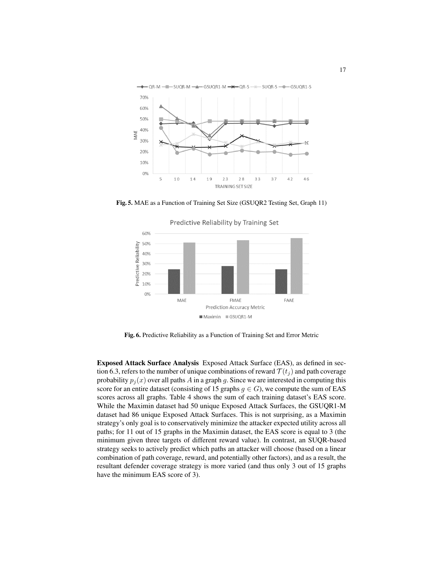

Fig. 5. MAE as a Function of Training Set Size (GSUQR2 Testing Set, Graph 11)



Predictive Reliability by Training Set

Fig. 6. Predictive Reliability as a Function of Training Set and Error Metric

Exposed Attack Surface Analysis Exposed Attack Surface (EAS), as defined in section 6.3, refers to the number of unique combinations of reward  $\mathcal{T}(t_i)$  and path coverage probability  $p_i(x)$  over all paths A in a graph g. Since we are interested in computing this score for an entire dataset (consisting of 15 graphs  $g \in G$ ), we compute the sum of EAS scores across all graphs. Table 4 shows the sum of each training dataset's EAS score. While the Maximin dataset had 50 unique Exposed Attack Surfaces, the GSUQR1-M dataset had 86 unique Exposed Attack Surfaces. This is not surprising, as a Maximin strategy's only goal is to conservatively minimize the attacker expected utility across all paths; for 11 out of 15 graphs in the Maximin dataset, the EAS score is equal to 3 (the minimum given three targets of different reward value). In contrast, an SUQR-based strategy seeks to actively predict which paths an attacker will choose (based on a linear combination of path coverage, reward, and potentially other factors), and as a result, the resultant defender coverage strategy is more varied (and thus only 3 out of 15 graphs have the minimum EAS score of 3).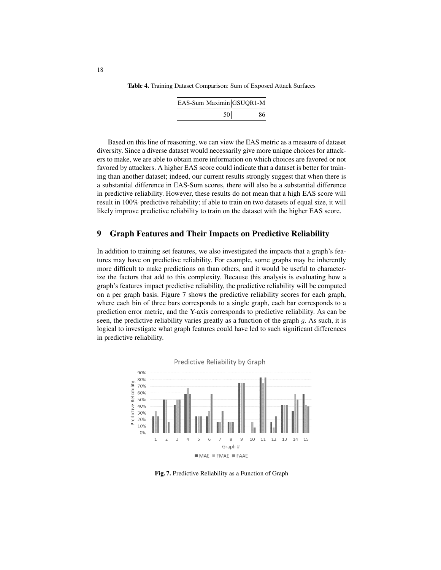Table 4. Training Dataset Comparison: Sum of Exposed Attack Surfaces

| EAS-Sum Maximin GSUQR1-M |    |    |  |  |  |
|--------------------------|----|----|--|--|--|
|                          | 50 | 86 |  |  |  |

Based on this line of reasoning, we can view the EAS metric as a measure of dataset diversity. Since a diverse dataset would necessarily give more unique choices for attackers to make, we are able to obtain more information on which choices are favored or not favored by attackers. A higher EAS score could indicate that a dataset is better for training than another dataset; indeed, our current results strongly suggest that when there is a substantial difference in EAS-Sum scores, there will also be a substantial difference in predictive reliability. However, these results do not mean that a high EAS score will result in 100% predictive reliability; if able to train on two datasets of equal size, it will likely improve predictive reliability to train on the dataset with the higher EAS score.

# 9 Graph Features and Their Impacts on Predictive Reliability

In addition to training set features, we also investigated the impacts that a graph's features may have on predictive reliability. For example, some graphs may be inherently more difficult to make predictions on than others, and it would be useful to characterize the factors that add to this complexity. Because this analysis is evaluating how a graph's features impact predictive reliability, the predictive reliability will be computed on a per graph basis. Figure 7 shows the predictive reliability scores for each graph, where each bin of three bars corresponds to a single graph, each bar corresponds to a prediction error metric, and the Y-axis corresponds to predictive reliability. As can be seen, the predictive reliability varies greatly as a function of the graph  $g$ . As such, it is logical to investigate what graph features could have led to such significant differences in predictive reliability.



Fig. 7. Predictive Reliability as a Function of Graph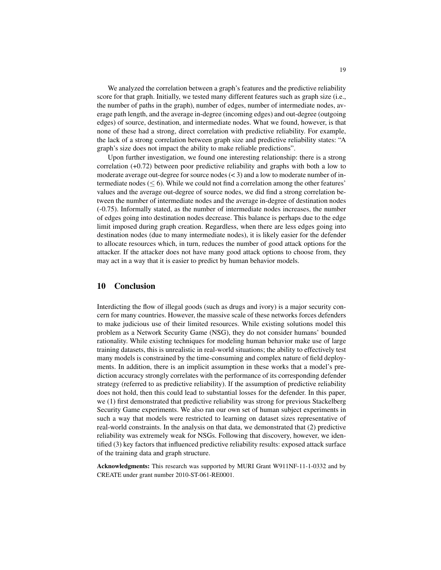We analyzed the correlation between a graph's features and the predictive reliability score for that graph. Initially, we tested many different features such as graph size (i.e., the number of paths in the graph), number of edges, number of intermediate nodes, average path length, and the average in-degree (incoming edges) and out-degree (outgoing edges) of source, destination, and intermediate nodes. What we found, however, is that none of these had a strong, direct correlation with predictive reliability. For example, the lack of a strong correlation between graph size and predictive reliability states: "A graph's size does not impact the ability to make reliable predictions".

Upon further investigation, we found one interesting relationship: there is a strong correlation (+0.72) between poor predictive reliability and graphs with both a low to moderate average out-degree for source nodes  $( $3$ )$  and a low to moderate number of intermediate nodes  $(< 6)$ . While we could not find a correlation among the other features' values and the average out-degree of source nodes, we did find a strong correlation between the number of intermediate nodes and the average in-degree of destination nodes (-0.75). Informally stated, as the number of intermediate nodes increases, the number of edges going into destination nodes decrease. This balance is perhaps due to the edge limit imposed during graph creation. Regardless, when there are less edges going into destination nodes (due to many intermediate nodes), it is likely easier for the defender to allocate resources which, in turn, reduces the number of good attack options for the attacker. If the attacker does not have many good attack options to choose from, they may act in a way that it is easier to predict by human behavior models.

# 10 Conclusion

Interdicting the flow of illegal goods (such as drugs and ivory) is a major security concern for many countries. However, the massive scale of these networks forces defenders to make judicious use of their limited resources. While existing solutions model this problem as a Network Security Game (NSG), they do not consider humans' bounded rationality. While existing techniques for modeling human behavior make use of large training datasets, this is unrealistic in real-world situations; the ability to effectively test many models is constrained by the time-consuming and complex nature of field deployments. In addition, there is an implicit assumption in these works that a model's prediction accuracy strongly correlates with the performance of its corresponding defender strategy (referred to as predictive reliability). If the assumption of predictive reliability does not hold, then this could lead to substantial losses for the defender. In this paper, we (1) first demonstrated that predictive reliability was strong for previous Stackelberg Security Game experiments. We also ran our own set of human subject experiments in such a way that models were restricted to learning on dataset sizes representative of real-world constraints. In the analysis on that data, we demonstrated that (2) predictive reliability was extremely weak for NSGs. Following that discovery, however, we identified (3) key factors that influenced predictive reliability results: exposed attack surface of the training data and graph structure.

Acknowledgments: This research was supported by MURI Grant W911NF-11-1-0332 and by CREATE under grant number 2010-ST-061-RE0001.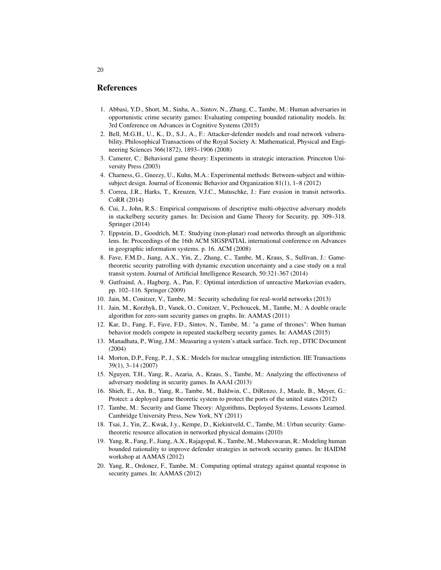# References

- 1. Abbasi, Y.D., Short, M., Sinha, A., Sintov, N., Zhang, C., Tambe, M.: Human adversaries in opportunistic crime security games: Evaluating competing bounded rationality models. In: 3rd Conference on Advances in Cognitive Systems (2015)
- 2. Bell, M.G.H., U., K., D., S.J., A., F.: Attacker-defender models and road network vulnerability. Philosophical Transactions of the Royal Society A: Mathematical, Physical and Engineering Sciences 366(1872), 1893–1906 (2008)
- 3. Camerer, C.: Behavioral game theory: Experiments in strategic interaction. Princeton University Press (2003)
- 4. Charness, G., Gneezy, U., Kuhn, M.A.: Experimental methods: Between-subject and withinsubject design. Journal of Economic Behavior and Organization 81(1), 1–8 (2012)
- 5. Correa, J.R., Harks, T., Kreuzen, V.J.C., Matuschke, J.: Fare evasion in transit networks. CoRR (2014)
- 6. Cui, J., John, R.S.: Empirical comparisons of descriptive multi-objective adversary models in stackelberg security games. In: Decision and Game Theory for Security, pp. 309–318. Springer (2014)
- 7. Eppstein, D., Goodrich, M.T.: Studying (non-planar) road networks through an algorithmic lens. In: Proceedings of the 16th ACM SIGSPATIAL international conference on Advances in geographic information systems. p. 16. ACM (2008)
- 8. Fave, F.M.D., Jiang, A.X., Yin, Z., Zhang, C., Tambe, M., Kraus, S., Sullivan, J.: Gametheoretic security patrolling with dynamic execution uncertainty and a case study on a real transit system. Journal of Artificial Intelligence Research, 50:321-367 (2014)
- 9. Gutfraind, A., Hagberg, A., Pan, F.: Optimal interdiction of unreactive Markovian evaders, pp. 102–116. Springer (2009)
- 10. Jain, M., Conitzer, V., Tambe, M.: Security scheduling for real-world networks (2013)
- 11. Jain, M., Korzhyk, D., Vanek, O., Conitzer, V., Pechoucek, M., Tambe, M.: A double oracle algorithm for zero-sum security games on graphs. In: AAMAS (2011)
- 12. Kar, D., Fang, F., Fave, F.D., Sintov, N., Tambe, M.: "a game of thrones": When human behavior models compete in repeated stackelberg security games. In: AAMAS (2015)
- 13. Manadhata, P., Wing, J.M.: Measuring a system's attack surface. Tech. rep., DTIC Document (2004)
- 14. Morton, D.P., Feng, P., J., S.K.: Models for nuclear smuggling interdiction. IIE Transactions 39(1), 3–14 (2007)
- 15. Nguyen, T.H., Yang, R., Azaria, A., Kraus, S., Tambe, M.: Analyzing the effectiveness of adversary modeling in security games. In AAAI (2013)
- 16. Shieh, E., An, B., Yang, R., Tambe, M., Baldwin, C., DiRenzo, J., Maule, B., Meyer, G.: Protect: a deployed game theoretic system to protect the ports of the united states (2012)
- 17. Tambe, M.: Security and Game Theory: Algorithms, Deployed Systems, Lessons Learned. Cambridge University Press, New York, NY (2011)
- 18. Tsai, J., Yin, Z., Kwak, J.y., Kempe, D., Kiekintveld, C., Tambe, M.: Urban security: Gametheoretic resource allocation in networked physical domains (2010)
- 19. Yang, R., Fang, F., Jiang, A.X., Rajagopal, K., Tambe, M., Maheswaran, R.: Modeling human bounded rationality to improve defender strategies in network security games. In: HAIDM workshop at AAMAS (2012)
- 20. Yang, R., Ordonez, F., Tambe, M.: Computing optimal strategy against quantal response in security games. In: AAMAS (2012)

20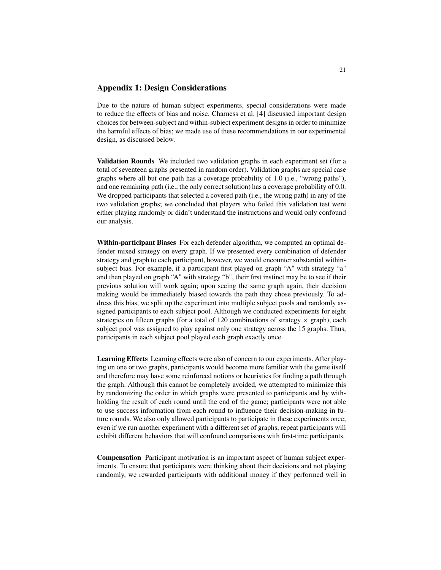### Appendix 1: Design Considerations

Due to the nature of human subject experiments, special considerations were made to reduce the effects of bias and noise. Charness et al. [4] discussed important design choices for between-subject and within-subject experiment designs in order to minimize the harmful effects of bias; we made use of these recommendations in our experimental design, as discussed below.

Validation Rounds We included two validation graphs in each experiment set (for a total of seventeen graphs presented in random order). Validation graphs are special case graphs where all but one path has a coverage probability of 1.0 (i.e., "wrong paths"), and one remaining path (i.e., the only correct solution) has a coverage probability of 0.0. We dropped participants that selected a covered path (i.e., the wrong path) in any of the two validation graphs; we concluded that players who failed this validation test were either playing randomly or didn't understand the instructions and would only confound our analysis.

Within-participant Biases For each defender algorithm, we computed an optimal defender mixed strategy on every graph. If we presented every combination of defender strategy and graph to each participant, however, we would encounter substantial withinsubject bias. For example, if a participant first played on graph "A" with strategy "a" and then played on graph "A" with strategy "b", their first instinct may be to see if their previous solution will work again; upon seeing the same graph again, their decision making would be immediately biased towards the path they chose previously. To address this bias, we split up the experiment into multiple subject pools and randomly assigned participants to each subject pool. Although we conducted experiments for eight strategies on fifteen graphs (for a total of 120 combinations of strategy  $\times$  graph), each subject pool was assigned to play against only one strategy across the 15 graphs. Thus, participants in each subject pool played each graph exactly once.

Learning Effects Learning effects were also of concern to our experiments. After playing on one or two graphs, participants would become more familiar with the game itself and therefore may have some reinforced notions or heuristics for finding a path through the graph. Although this cannot be completely avoided, we attempted to minimize this by randomizing the order in which graphs were presented to participants and by withholding the result of each round until the end of the game; participants were not able to use success information from each round to influence their decision-making in future rounds. We also only allowed participants to participate in these experiments once; even if we run another experiment with a different set of graphs, repeat participants will exhibit different behaviors that will confound comparisons with first-time participants.

Compensation Participant motivation is an important aspect of human subject experiments. To ensure that participants were thinking about their decisions and not playing randomly, we rewarded participants with additional money if they performed well in